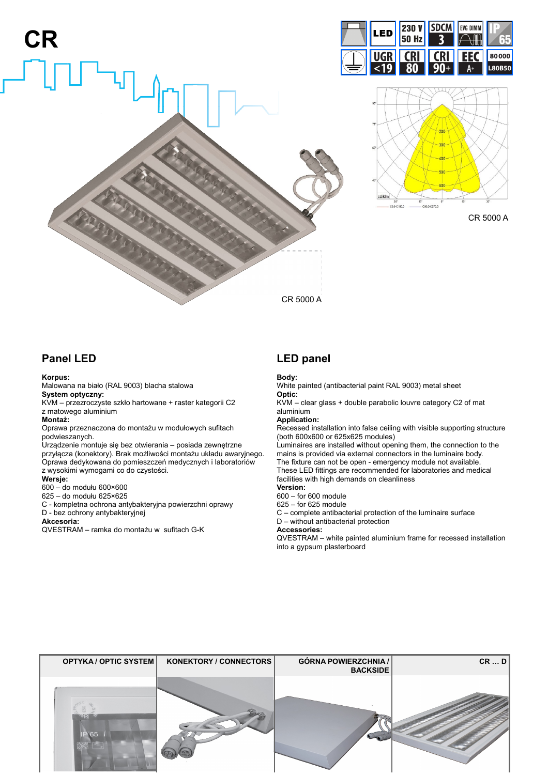





CR 5000 A

# **Panel LED**

#### **Korpus:**

Malowana na biało (RAL 9003) blacha stalowa **System optyczny:**

KVM – przezroczyste szkło hartowane + raster kategorii C2 z matowego aluminium

#### **Montaż:**

Oprawa przeznaczona do montażu w modułowych sufitach podwieszanych.

Urządzenie montuje się bez otwierania – posiada zewnętrzne przyłącza (konektory). Brak możliwości montażu układu awaryjnego. Oprawa dedykowana do pomieszczeń medycznych i laboratoriów z wysokimi wymogami co do czystości.

#### **Wersje:**

600 – do modułu 600×600

625 – do modułu 625×625

C - kompletna ochrona antybakteryjna powierzchni oprawy

D - bez ochrony antybakteryjnej

#### **Akcesoria:**

QVESTRAM – ramka do montażu w sufitach G-K

## **LED panel**

#### **Body:**

White painted (antibacterial paint RAL 9003) metal sheet **Optic:**

KVM – clear glass + double parabolic louvre category C2 of mat aluminium

**Application:**

Recessed installation into false ceiling with visible supporting structure (both 600x600 or 625x625 modules)

Luminaires are installed without opening them, the connection to the mains is provided via external connectors in the luminaire body. The fixture can not be open - emergency module not available. These LED fittings are recommended for laboratories and medical facilities with high demands on cleanliness

**Version:**

- 600 for 600 module
- 625 for 625 module

C – complete antibacterial protection of the luminaire surface D – without antibacterial protection

**Accessories:**

QVESTRAM – white painted aluminium frame for recessed installation into a gypsum plasterboard